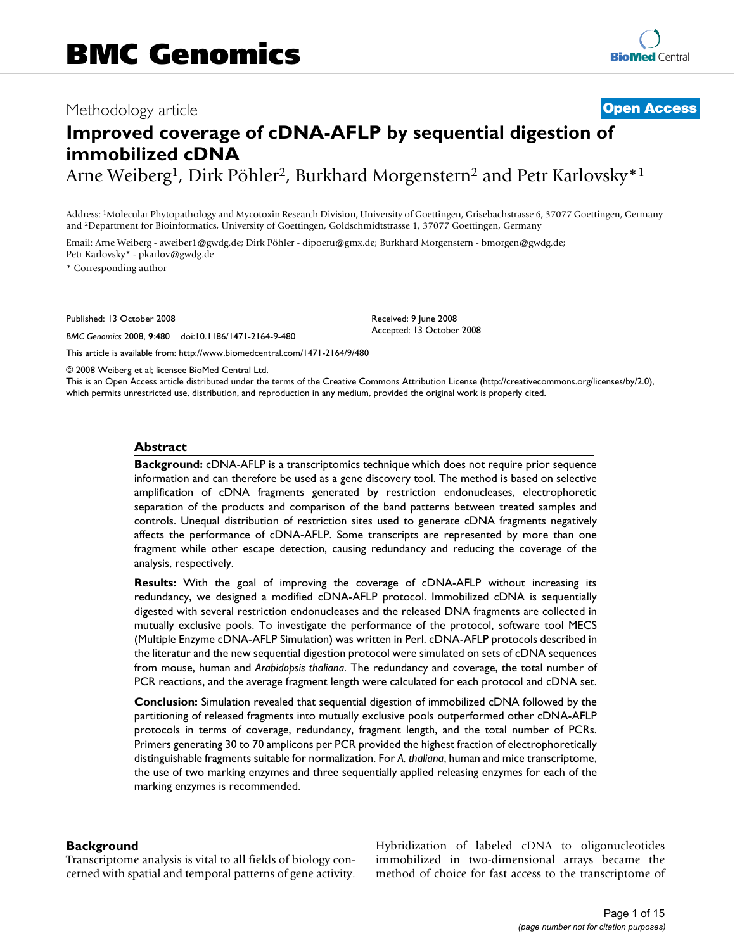## Methodology article **[Open Access](http://www.biomedcentral.com/info/about/charter/)**

# **Improved coverage of cDNA-AFLP by sequential digestion of immobilized cDNA**

Arne Weiberg<sup>1</sup>, Dirk Pöhler<sup>2</sup>, Burkhard Morgenstern<sup>2</sup> and Petr Karlovsky<sup>\*1</sup>

Address: 1Molecular Phytopathology and Mycotoxin Research Division, University of Goettingen, Grisebachstrasse 6, 37077 Goettingen, Germany and 2Department for Bioinformatics, University of Goettingen, Goldschmidtstrasse 1, 37077 Goettingen, Germany

Email: Arne Weiberg - aweiber1@gwdg.de; Dirk Pöhler - dipoeru@gmx.de; Burkhard Morgenstern - bmorgen@gwdg.de; Petr Karlovsky\* - pkarlov@gwdg.de

\* Corresponding author

Published: 13 October 2008

*BMC Genomics* 2008, **9**:480 doi:10.1186/1471-2164-9-480

[This article is available from: http://www.biomedcentral.com/1471-2164/9/480](http://www.biomedcentral.com/1471-2164/9/480)

© 2008 Weiberg et al; licensee BioMed Central Ltd.

This is an Open Access article distributed under the terms of the Creative Commons Attribution License [\(http://creativecommons.org/licenses/by/2.0\)](http://creativecommons.org/licenses/by/2.0), which permits unrestricted use, distribution, and reproduction in any medium, provided the original work is properly cited.

Received: 9 June 2008 Accepted: 13 October 2008

#### **Abstract**

**Background:** cDNA-AFLP is a transcriptomics technique which does not require prior sequence information and can therefore be used as a gene discovery tool. The method is based on selective amplification of cDNA fragments generated by restriction endonucleases, electrophoretic separation of the products and comparison of the band patterns between treated samples and controls. Unequal distribution of restriction sites used to generate cDNA fragments negatively affects the performance of cDNA-AFLP. Some transcripts are represented by more than one fragment while other escape detection, causing redundancy and reducing the coverage of the analysis, respectively.

**Results:** With the goal of improving the coverage of cDNA-AFLP without increasing its redundancy, we designed a modified cDNA-AFLP protocol. Immobilized cDNA is sequentially digested with several restriction endonucleases and the released DNA fragments are collected in mutually exclusive pools. To investigate the performance of the protocol, software tool MECS (Multiple Enzyme cDNA-AFLP Simulation) was written in Perl. cDNA-AFLP protocols described in the literatur and the new sequential digestion protocol were simulated on sets of cDNA sequences from mouse, human and *Arabidopsis thaliana*. The redundancy and coverage, the total number of PCR reactions, and the average fragment length were calculated for each protocol and cDNA set.

**Conclusion:** Simulation revealed that sequential digestion of immobilized cDNA followed by the partitioning of released fragments into mutually exclusive pools outperformed other cDNA-AFLP protocols in terms of coverage, redundancy, fragment length, and the total number of PCRs. Primers generating 30 to 70 amplicons per PCR provided the highest fraction of electrophoretically distinguishable fragments suitable for normalization. For *A. thaliana*, human and mice transcriptome, the use of two marking enzymes and three sequentially applied releasing enzymes for each of the marking enzymes is recommended.

#### **Background**

Transcriptome analysis is vital to all fields of biology concerned with spatial and temporal patterns of gene activity. Hybridization of labeled cDNA to oligonucleotides immobilized in two-dimensional arrays became the method of choice for fast access to the transcriptome of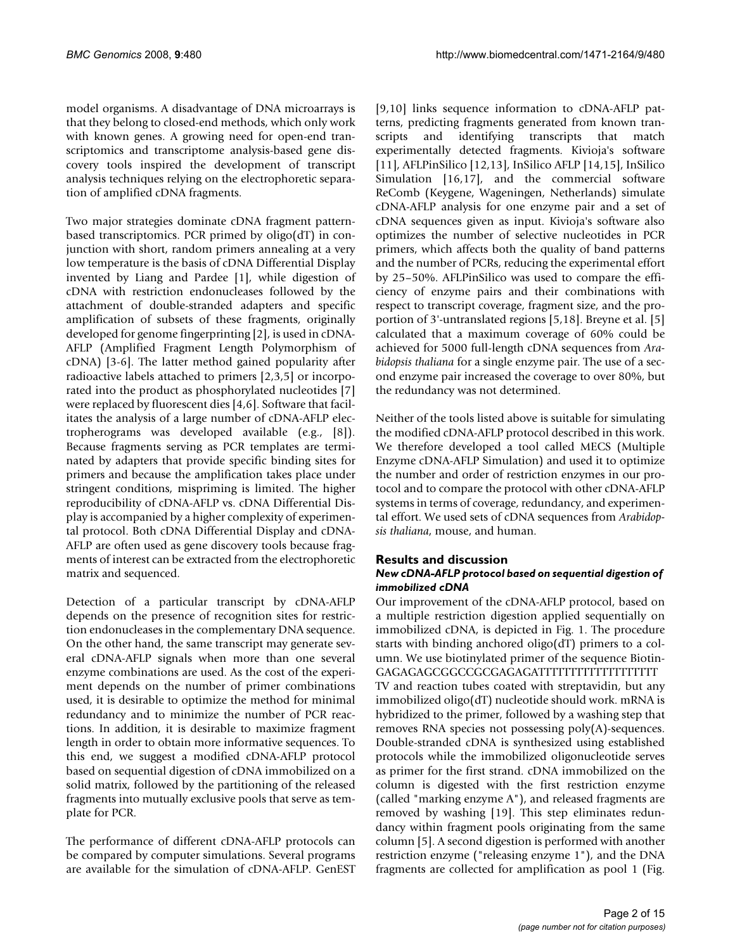model organisms. A disadvantage of DNA microarrays is that they belong to closed-end methods, which only work with known genes. A growing need for open-end transcriptomics and transcriptome analysis-based gene discovery tools inspired the development of transcript analysis techniques relying on the electrophoretic separation of amplified cDNA fragments.

Two major strategies dominate cDNA fragment patternbased transcriptomics. PCR primed by oligo(dT) in conjunction with short, random primers annealing at a very low temperature is the basis of cDNA Differential Display invented by Liang and Pardee [1], while digestion of cDNA with restriction endonucleases followed by the attachment of double-stranded adapters and specific amplification of subsets of these fragments, originally developed for genome fingerprinting [2], is used in cDNA-AFLP (Amplified Fragment Length Polymorphism of cDNA) [3-6]. The latter method gained popularity after radioactive labels attached to primers [2,3,5] or incorporated into the product as phosphorylated nucleotides [7] were replaced by fluorescent dies [4,6]. Software that facilitates the analysis of a large number of cDNA-AFLP electropherograms was developed available (e.g., [8]). Because fragments serving as PCR templates are terminated by adapters that provide specific binding sites for primers and because the amplification takes place under stringent conditions, mispriming is limited. The higher reproducibility of cDNA-AFLP vs. cDNA Differential Display is accompanied by a higher complexity of experimental protocol. Both cDNA Differential Display and cDNA-AFLP are often used as gene discovery tools because fragments of interest can be extracted from the electrophoretic matrix and sequenced.

Detection of a particular transcript by cDNA-AFLP depends on the presence of recognition sites for restriction endonucleases in the complementary DNA sequence. On the other hand, the same transcript may generate several cDNA-AFLP signals when more than one several enzyme combinations are used. As the cost of the experiment depends on the number of primer combinations used, it is desirable to optimize the method for minimal redundancy and to minimize the number of PCR reactions. In addition, it is desirable to maximize fragment length in order to obtain more informative sequences. To this end, we suggest a modified cDNA-AFLP protocol based on sequential digestion of cDNA immobilized on a solid matrix, followed by the partitioning of the released fragments into mutually exclusive pools that serve as template for PCR.

The performance of different cDNA-AFLP protocols can be compared by computer simulations. Several programs are available for the simulation of cDNA-AFLP. GenEST [9,10] links sequence information to cDNA-AFLP patterns, predicting fragments generated from known transcripts and identifying transcripts that match experimentally detected fragments. Kivioja's software [11], AFLPinSilico [12,13], InSilico AFLP [14,15], InSilico Simulation [16,17], and the commercial software ReComb (Keygene, Wageningen, Netherlands) simulate cDNA-AFLP analysis for one enzyme pair and a set of cDNA sequences given as input. Kivioja's software also optimizes the number of selective nucleotides in PCR primers, which affects both the quality of band patterns and the number of PCRs, reducing the experimental effort by 25–50%. AFLPinSilico was used to compare the efficiency of enzyme pairs and their combinations with respect to transcript coverage, fragment size, and the proportion of 3'-untranslated regions [5,18]. Breyne et al. [5] calculated that a maximum coverage of 60% could be achieved for 5000 full-length cDNA sequences from *Arabidopsis thaliana* for a single enzyme pair. The use of a second enzyme pair increased the coverage to over 80%, but the redundancy was not determined.

Neither of the tools listed above is suitable for simulating the modified cDNA-AFLP protocol described in this work. We therefore developed a tool called MECS (Multiple Enzyme cDNA-AFLP Simulation) and used it to optimize the number and order of restriction enzymes in our protocol and to compare the protocol with other cDNA-AFLP systems in terms of coverage, redundancy, and experimental effort. We used sets of cDNA sequences from *Arabidopsis thaliana*, mouse, and human.

#### **Results and discussion** *New cDNA-AFLP protocol based on sequential digestion of immobilized cDNA*

Our improvement of the cDNA-AFLP protocol, based on a multiple restriction digestion applied sequentially on immobilized cDNA, is depicted in Fig. 1. The procedure starts with binding anchored oligo(dT) primers to a column. We use biotinylated primer of the sequence Biotin-GAGAGAGCGGCCGCGAGAGATTTTTTTTTTTTTTTTTTT

TV and reaction tubes coated with streptavidin, but any immobilized oligo(dT) nucleotide should work. mRNA is hybridized to the primer, followed by a washing step that removes RNA species not possessing poly(A)-sequences. Double-stranded cDNA is synthesized using established protocols while the immobilized oligonucleotide serves as primer for the first strand. cDNA immobilized on the column is digested with the first restriction enzyme (called "marking enzyme A"), and released fragments are removed by washing [19]. This step eliminates redundancy within fragment pools originating from the same column [5]. A second digestion is performed with another restriction enzyme ("releasing enzyme 1"), and the DNA fragments are collected for amplification as pool 1 (Fig.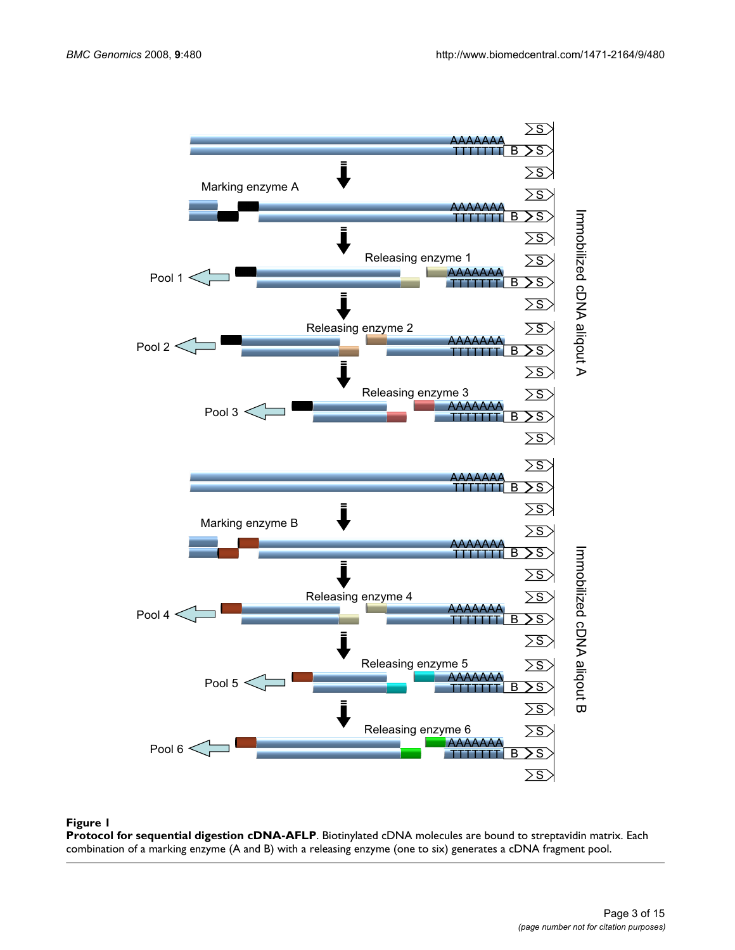

#### **Figure 1**

**Protocol for sequential digestion cDNA-AFLP**. Biotinylated cDNA molecules are bound to streptavidin matrix. Each combination of a marking enzyme (A and B) with a releasing enzyme (one to six) generates a cDNA fragment pool.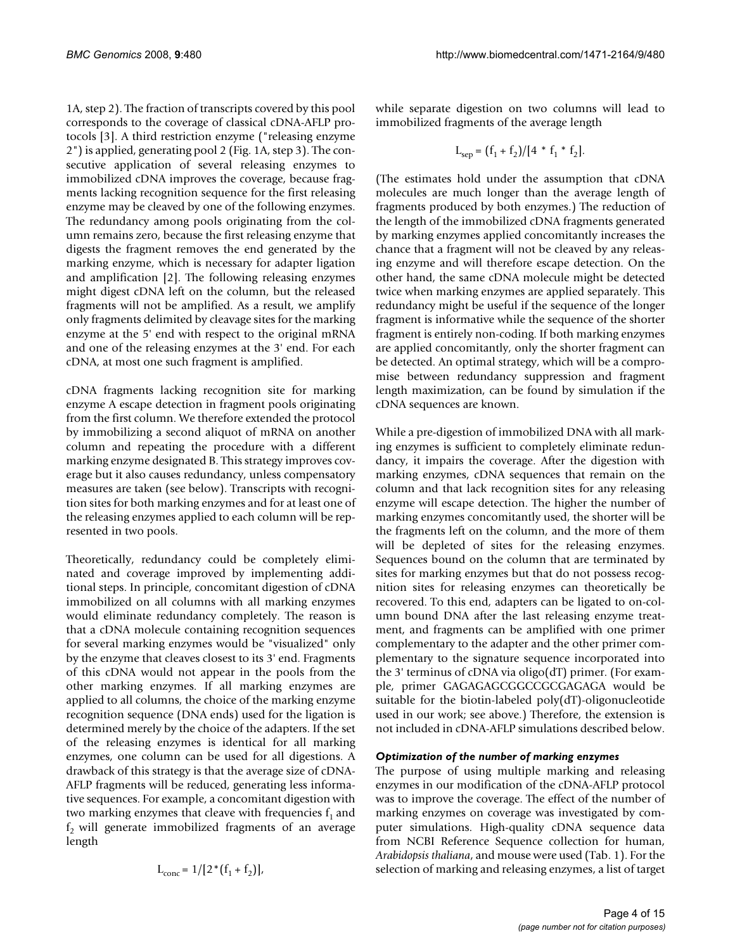1A, step 2). The fraction of transcripts covered by this pool corresponds to the coverage of classical cDNA-AFLP protocols [3]. A third restriction enzyme ("releasing enzyme 2") is applied, generating pool 2 (Fig. 1A, step 3). The consecutive application of several releasing enzymes to immobilized cDNA improves the coverage, because fragments lacking recognition sequence for the first releasing enzyme may be cleaved by one of the following enzymes. The redundancy among pools originating from the column remains zero, because the first releasing enzyme that digests the fragment removes the end generated by the marking enzyme, which is necessary for adapter ligation and amplification [2]. The following releasing enzymes might digest cDNA left on the column, but the released fragments will not be amplified. As a result, we amplify only fragments delimited by cleavage sites for the marking enzyme at the 5' end with respect to the original mRNA and one of the releasing enzymes at the 3' end. For each cDNA, at most one such fragment is amplified.

cDNA fragments lacking recognition site for marking enzyme A escape detection in fragment pools originating from the first column. We therefore extended the protocol by immobilizing a second aliquot of mRNA on another column and repeating the procedure with a different marking enzyme designated B. This strategy improves coverage but it also causes redundancy, unless compensatory measures are taken (see below). Transcripts with recognition sites for both marking enzymes and for at least one of the releasing enzymes applied to each column will be represented in two pools.

Theoretically, redundancy could be completely eliminated and coverage improved by implementing additional steps. In principle, concomitant digestion of cDNA immobilized on all columns with all marking enzymes would eliminate redundancy completely. The reason is that a cDNA molecule containing recognition sequences for several marking enzymes would be "visualized" only by the enzyme that cleaves closest to its 3' end. Fragments of this cDNA would not appear in the pools from the other marking enzymes. If all marking enzymes are applied to all columns, the choice of the marking enzyme recognition sequence (DNA ends) used for the ligation is determined merely by the choice of the adapters. If the set of the releasing enzymes is identical for all marking enzymes, one column can be used for all digestions. A drawback of this strategy is that the average size of cDNA-AFLP fragments will be reduced, generating less informative sequences. For example, a concomitant digestion with two marking enzymes that cleave with frequencies  $f_1$  and  $f<sub>2</sub>$  will generate immobilized fragments of an average length

$$
L_{\text{conc}} = 1/[2*(f_1 + f_2)],
$$

while separate digestion on two columns will lead to immobilized fragments of the average length

$$
L_{\text{sep}} = (f_1 + f_2) / [4 * f_1 * f_2].
$$

(The estimates hold under the assumption that cDNA molecules are much longer than the average length of fragments produced by both enzymes.) The reduction of the length of the immobilized cDNA fragments generated by marking enzymes applied concomitantly increases the chance that a fragment will not be cleaved by any releasing enzyme and will therefore escape detection. On the other hand, the same cDNA molecule might be detected twice when marking enzymes are applied separately. This redundancy might be useful if the sequence of the longer fragment is informative while the sequence of the shorter fragment is entirely non-coding. If both marking enzymes are applied concomitantly, only the shorter fragment can be detected. An optimal strategy, which will be a compromise between redundancy suppression and fragment length maximization, can be found by simulation if the cDNA sequences are known.

While a pre-digestion of immobilized DNA with all marking enzymes is sufficient to completely eliminate redundancy, it impairs the coverage. After the digestion with marking enzymes, cDNA sequences that remain on the column and that lack recognition sites for any releasing enzyme will escape detection. The higher the number of marking enzymes concomitantly used, the shorter will be the fragments left on the column, and the more of them will be depleted of sites for the releasing enzymes. Sequences bound on the column that are terminated by sites for marking enzymes but that do not possess recognition sites for releasing enzymes can theoretically be recovered. To this end, adapters can be ligated to on-column bound DNA after the last releasing enzyme treatment, and fragments can be amplified with one primer complementary to the adapter and the other primer complementary to the signature sequence incorporated into the 3' terminus of cDNA via oligo(dT) primer. (For example, primer GAGAGAGCGGCCGCGAGAGA would be suitable for the biotin-labeled poly(dT)-oligonucleotide used in our work; see above.) Therefore, the extension is not included in cDNA-AFLP simulations described below.

### *Optimization of the number of marking enzymes*

The purpose of using multiple marking and releasing enzymes in our modification of the cDNA-AFLP protocol was to improve the coverage. The effect of the number of marking enzymes on coverage was investigated by computer simulations. High-quality cDNA sequence data from NCBI Reference Sequence collection for human, *Arabidopsis thaliana*, and mouse were used (Tab. 1). For the selection of marking and releasing enzymes, a list of target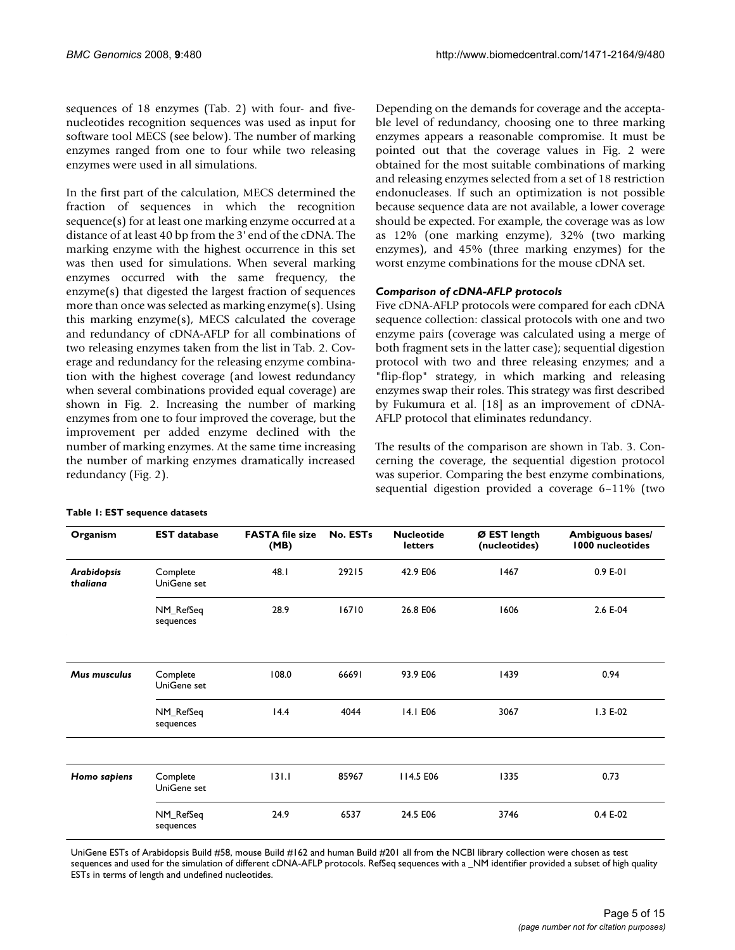sequences of 18 enzymes (Tab. 2) with four- and fivenucleotides recognition sequences was used as input for software tool MECS (see below). The number of marking enzymes ranged from one to four while two releasing enzymes were used in all simulations.

In the first part of the calculation, MECS determined the fraction of sequences in which the recognition sequence(s) for at least one marking enzyme occurred at a distance of at least 40 bp from the 3' end of the cDNA. The marking enzyme with the highest occurrence in this set was then used for simulations. When several marking enzymes occurred with the same frequency, the enzyme(s) that digested the largest fraction of sequences more than once was selected as marking enzyme(s). Using this marking enzyme(s), MECS calculated the coverage and redundancy of cDNA-AFLP for all combinations of two releasing enzymes taken from the list in Tab. 2. Coverage and redundancy for the releasing enzyme combination with the highest coverage (and lowest redundancy when several combinations provided equal coverage) are shown in Fig. 2. Increasing the number of marking enzymes from one to four improved the coverage, but the improvement per added enzyme declined with the number of marking enzymes. At the same time increasing the number of marking enzymes dramatically increased redundancy (Fig. 2).

Depending on the demands for coverage and the acceptable level of redundancy, choosing one to three marking enzymes appears a reasonable compromise. It must be pointed out that the coverage values in Fig. 2 were obtained for the most suitable combinations of marking and releasing enzymes selected from a set of 18 restriction endonucleases. If such an optimization is not possible because sequence data are not available, a lower coverage should be expected. For example, the coverage was as low as 12% (one marking enzyme), 32% (two marking enzymes), and 45% (three marking enzymes) for the worst enzyme combinations for the mouse cDNA set.

### *Comparison of cDNA-AFLP protocols*

Five cDNA-AFLP protocols were compared for each cDNA sequence collection: classical protocols with one and two enzyme pairs (coverage was calculated using a merge of both fragment sets in the latter case); sequential digestion protocol with two and three releasing enzymes; and a "flip-flop" strategy, in which marking and releasing enzymes swap their roles. This strategy was first described by Fukumura et al. [18] as an improvement of cDNA-AFLP protocol that eliminates redundancy.

The results of the comparison are shown in Tab. 3. Concerning the coverage, the sequential digestion protocol was superior. Comparing the best enzyme combinations, sequential digestion provided a coverage 6–11% (two

| Organism                | <b>EST</b> database     | <b>FASTA file size</b><br>(MB) | No. ESTs | <b>Nucleotide</b><br>letters | Ø EST length<br>(nucleotides) | Ambiguous bases/<br>1000 nucleotides |
|-------------------------|-------------------------|--------------------------------|----------|------------------------------|-------------------------------|--------------------------------------|
| Arabidopsis<br>thaliana | Complete<br>UniGene set | 48.1                           | 29215    | 42.9 E06                     | 1467                          | $0.9 E - 01$                         |
|                         | NM_RefSeq<br>sequences  | 28.9                           | 16710    | 26.8 E06                     | 1606                          | 2.6 E-04                             |
| Mus musculus            | Complete<br>UniGene set | 108.0                          | 66691    | 93.9 E06                     | 1439                          | 0.94                                 |
|                         | NM_RefSeq<br>sequences  | 14.4                           | 4044     | 14.1 E06                     | 3067                          | $1.3 E-02$                           |
| Homo sapiens            | Complete<br>UniGene set | 131.1                          | 85967    | 114.5 E06                    | 1335                          | 0.73                                 |
|                         | NM_RefSeq<br>sequences  | 24.9                           | 6537     | 24.5 E06                     | 3746                          | $0.4 E-02$                           |

**Table 1: EST sequence datasets**

UniGene ESTs of Arabidopsis Build #58, mouse Build #162 and human Build #201 all from the NCBI library collection were chosen as test sequences and used for the simulation of different cDNA-AFLP protocols. RefSeq sequences with a \_NM identifier provided a subset of high quality ESTs in terms of length and undefined nucleotides.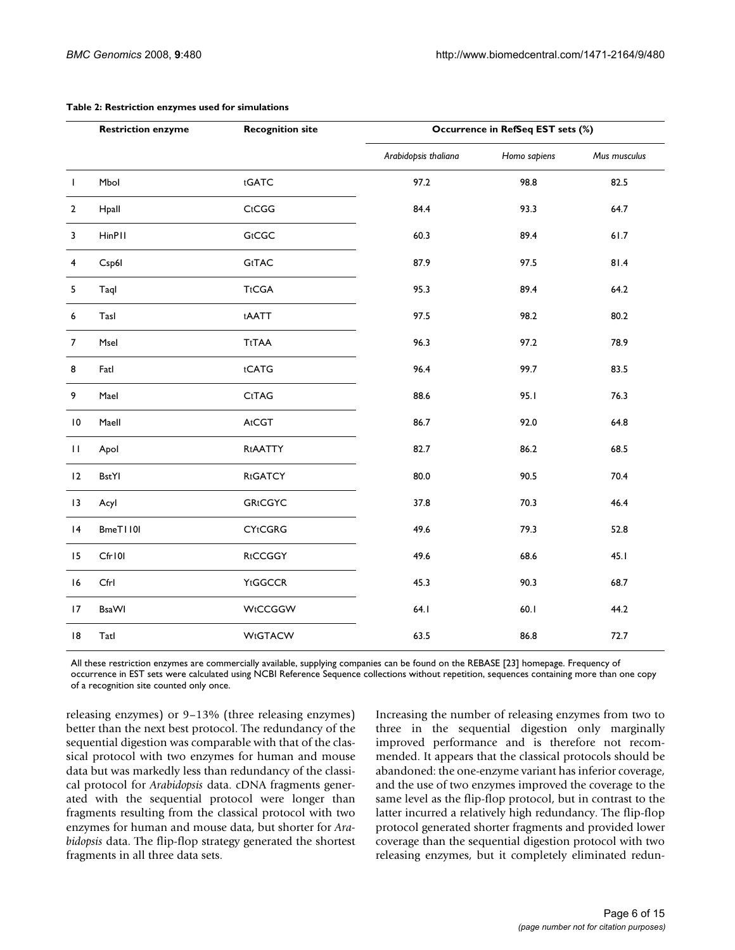|                         | <b>Restriction enzyme</b> | <b>Recognition site</b> | Occurrence in RefSeq EST sets (%) |              |              |
|-------------------------|---------------------------|-------------------------|-----------------------------------|--------------|--------------|
|                         |                           |                         | Arabidopsis thaliana              | Homo sapiens | Mus musculus |
| $\mathbf{I}$            | Mbol                      | tGATC                   | 97.2                              | 98.8         | 82.5         |
| $\overline{2}$          | Hpall                     | CtCGG                   | 84.4                              | 93.3         | 64.7         |
| 3                       | <b>HinPII</b>             | GtCGC                   | 60.3                              | 89.4         | 61.7         |
| $\overline{\mathbf{4}}$ | Csp6I                     | GtTAC                   | 87.9                              | 97.5         | 81.4         |
| 5                       | Taql                      | <b>TtCGA</b>            | 95.3                              | 89.4         | 64.2         |
| 6                       | Tasl                      | tAATT                   | 97.5                              | 98.2         | 80.2         |
| $\overline{7}$          | Msel                      | TtTAA                   | 96.3                              | 97.2         | 78.9         |
| 8                       | Fatl                      | tCATG                   | 96.4                              | 99.7         | 83.5         |
| 9                       | Mael                      | CtTAG                   | 88.6                              | 95.1         | 76.3         |
| $\overline{10}$         | Maell                     | AtCGT                   | 86.7                              | 92.0         | 64.8         |
| $\mathbf{H}$            | Apol                      | RtAATTY                 | 82.7                              | 86.2         | 68.5         |
| 12                      | BstYl                     | <b>RtGATCY</b>          | 80.0                              | 90.5         | 70.4         |
| 13                      | Acyl                      | GRtCGYC                 | 37.8                              | 70.3         | 46.4         |
| 4                       | BmeT1101                  | <b>CYtCGRG</b>          | 49.6                              | 79.3         | 52.8         |
| 15                      | Cfr101                    | <b>RtCCGGY</b>          | 49.6                              | 68.6         | 45.1         |
| 16                      | Cfrl                      | <b>YtGGCCR</b>          | 45.3                              | 90.3         | 68.7         |
| 17                      | <b>BsaWI</b>              | WtCCGGW                 | 64.1                              | 60.1         | 44.2         |
| 8                       | Tatl                      | WtGTACW                 | 63.5                              | 86.8         | 72.7         |

#### **Table 2: Restriction enzymes used for simulations**

All these restriction enzymes are commercially available, supplying companies can be found on the REBASE [23] homepage. Frequency of occurrence in EST sets were calculated using NCBI Reference Sequence collections without repetition, sequences containing more than one copy of a recognition site counted only once.

releasing enzymes) or 9–13% (three releasing enzymes) better than the next best protocol. The redundancy of the sequential digestion was comparable with that of the classical protocol with two enzymes for human and mouse data but was markedly less than redundancy of the classical protocol for *Arabidopsis* data. cDNA fragments generated with the sequential protocol were longer than fragments resulting from the classical protocol with two enzymes for human and mouse data, but shorter for *Arabidopsis* data. The flip-flop strategy generated the shortest fragments in all three data sets.

Increasing the number of releasing enzymes from two to three in the sequential digestion only marginally improved performance and is therefore not recommended. It appears that the classical protocols should be abandoned: the one-enzyme variant has inferior coverage, and the use of two enzymes improved the coverage to the same level as the flip-flop protocol, but in contrast to the latter incurred a relatively high redundancy. The flip-flop protocol generated shorter fragments and provided lower coverage than the sequential digestion protocol with two releasing enzymes, but it completely eliminated redun-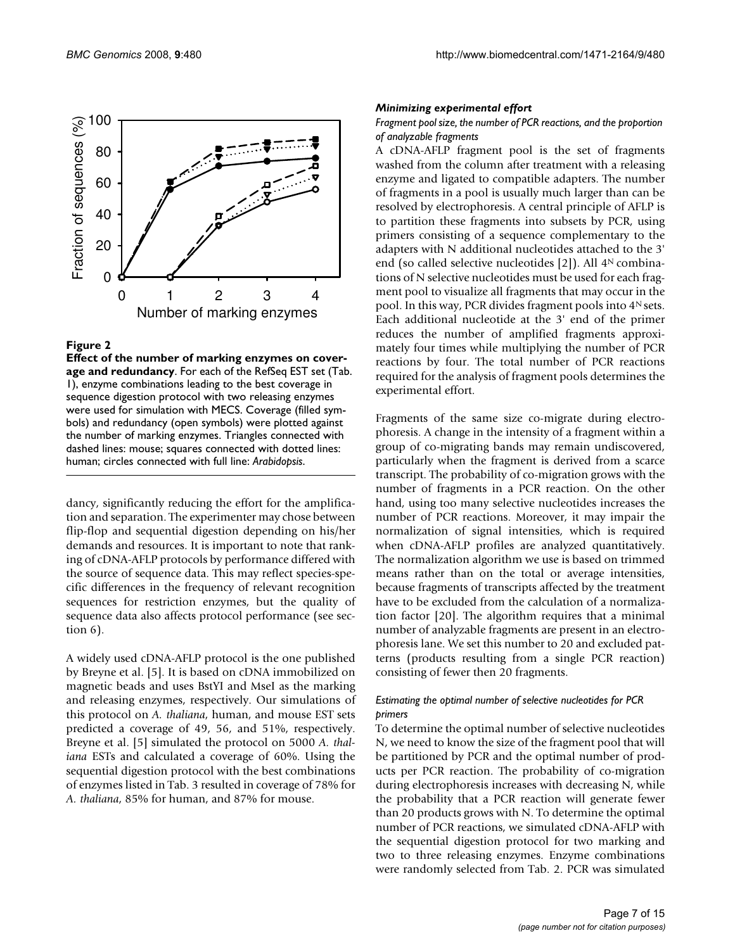

#### **Figure 2**

**Effect of the number of marking enzymes on coverage and redundancy**. For each of the RefSeq EST set (Tab. 1), enzyme combinations leading to the best coverage in sequence digestion protocol with two releasing enzymes were used for simulation with MECS. Coverage (filled symbols) and redundancy (open symbols) were plotted against the number of marking enzymes. Triangles connected with dashed lines: mouse; squares connected with dotted lines: human; circles connected with full line: *Arabidopsis*.

dancy, significantly reducing the effort for the amplification and separation. The experimenter may chose between flip-flop and sequential digestion depending on his/her demands and resources. It is important to note that ranking of cDNA-AFLP protocols by performance differed with the source of sequence data. This may reflect species-specific differences in the frequency of relevant recognition sequences for restriction enzymes, but the quality of sequence data also affects protocol performance (see section 6).

A widely used cDNA-AFLP protocol is the one published by Breyne et al. [5]. It is based on cDNA immobilized on magnetic beads and uses BstYI and MseI as the marking and releasing enzymes, respectively. Our simulations of this protocol on *A. thaliana*, human, and mouse EST sets predicted a coverage of 49, 56, and 51%, respectively. Breyne et al. [5] simulated the protocol on 5000 *A. thaliana* ESTs and calculated a coverage of 60%. Using the sequential digestion protocol with the best combinations of enzymes listed in Tab. 3 resulted in coverage of 78% for *A. thaliana*, 85% for human, and 87% for mouse.

#### *Minimizing experimental effort*

#### *Fragment pool size, the number of PCR reactions, and the proportion of analyzable fragments*

A cDNA-AFLP fragment pool is the set of fragments washed from the column after treatment with a releasing enzyme and ligated to compatible adapters. The number of fragments in a pool is usually much larger than can be resolved by electrophoresis. A central principle of AFLP is to partition these fragments into subsets by PCR, using primers consisting of a sequence complementary to the adapters with N additional nucleotides attached to the 3' end (so called selective nucleotides [2]). All  $4<sup>N</sup>$  combinations of N selective nucleotides must be used for each fragment pool to visualize all fragments that may occur in the pool. In this way, PCR divides fragment pools into 4N sets. Each additional nucleotide at the 3' end of the primer reduces the number of amplified fragments approximately four times while multiplying the number of PCR reactions by four. The total number of PCR reactions required for the analysis of fragment pools determines the experimental effort.

Fragments of the same size co-migrate during electrophoresis. A change in the intensity of a fragment within a group of co-migrating bands may remain undiscovered, particularly when the fragment is derived from a scarce transcript. The probability of co-migration grows with the number of fragments in a PCR reaction. On the other hand, using too many selective nucleotides increases the number of PCR reactions. Moreover, it may impair the normalization of signal intensities, which is required when cDNA-AFLP profiles are analyzed quantitatively. The normalization algorithm we use is based on trimmed means rather than on the total or average intensities, because fragments of transcripts affected by the treatment have to be excluded from the calculation of a normalization factor [20]. The algorithm requires that a minimal number of analyzable fragments are present in an electrophoresis lane. We set this number to 20 and excluded patterns (products resulting from a single PCR reaction) consisting of fewer then 20 fragments.

#### *Estimating the optimal number of selective nucleotides for PCR primers*

To determine the optimal number of selective nucleotides N, we need to know the size of the fragment pool that will be partitioned by PCR and the optimal number of products per PCR reaction. The probability of co-migration during electrophoresis increases with decreasing N, while the probability that a PCR reaction will generate fewer than 20 products grows with N. To determine the optimal number of PCR reactions, we simulated cDNA-AFLP with the sequential digestion protocol for two marking and two to three releasing enzymes. Enzyme combinations were randomly selected from Tab. 2. PCR was simulated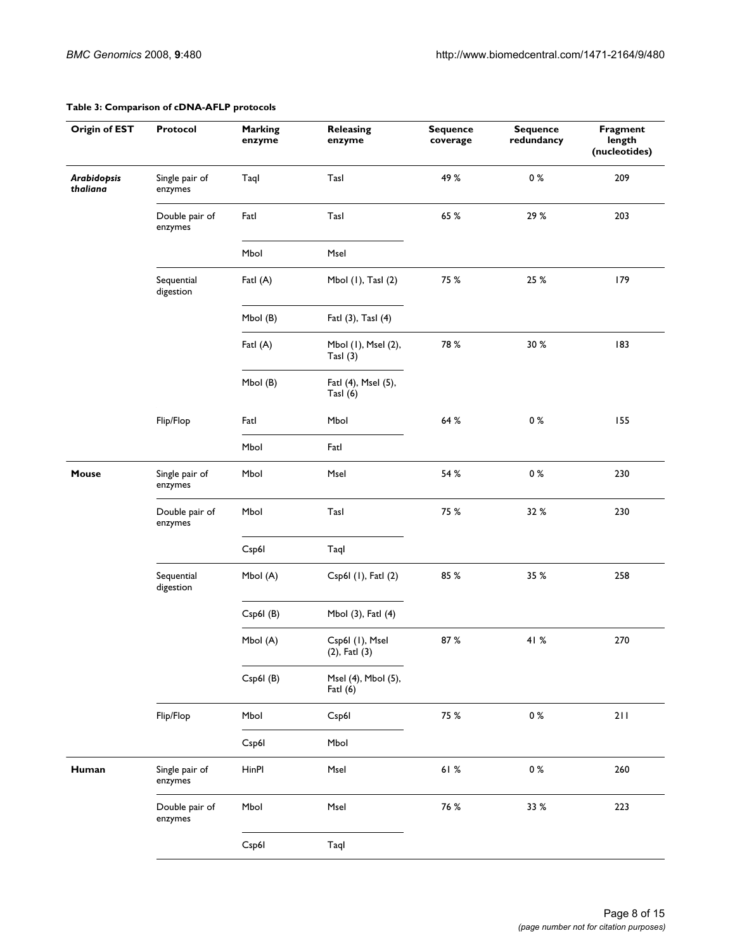#### **Origin of EST Protocol Marking enzyme Releasing enzyme Sequence coverage Sequence redundancy Fragment length (nucleotides)** *Arabidopsis thaliana* Single pair of enzymes TaqI TasI 49 % 0 % 209 Double pair of enzymes FatI TasI 65 % 29 % 203 MboI MseI Sequential digestion Fatl (A) Mbol (1), Tasl (2) 75 % 25 % 179 Mbol (B) Fatl (3), Tasl (4) FatI (A) Mbol (1), Msel (2), TasI (3) 78 % 30 % 183 Mbol (B) Fatl (4), Msel (5), TasI (6) Flip/Flop FatI MboI 64 % 0 % 155 Mbol Fatl **Mouse** Single pair of enzymes MboI MseI 54 % 0 % 230 Double pair of enzymes MboI TasI 75 % 32 % 230 Csp6I TaqI Sequential digestion MboI (A) Csp6I (1), FatI (2) 85 % 35 % 258 Csp6I (B) Mbol (3), Fatl (4) Mbol (A) Csp6I (I), Msel (2), FatI (3) 87 % 41 % 270 Csp6I (B) Msel (4), Mbol (5), FatI (6) Flip/Flop MboI Csp6I 75 % 0 % 211 Csp6I MboI **Human** Single pair of enzymes HinPI MseI 61 % 0 % 260 Double pair of enzymes MboI MseI 76 % 33 % 223 Csp6I TaqI

#### **Table 3: Comparison of cDNA-AFLP protocols**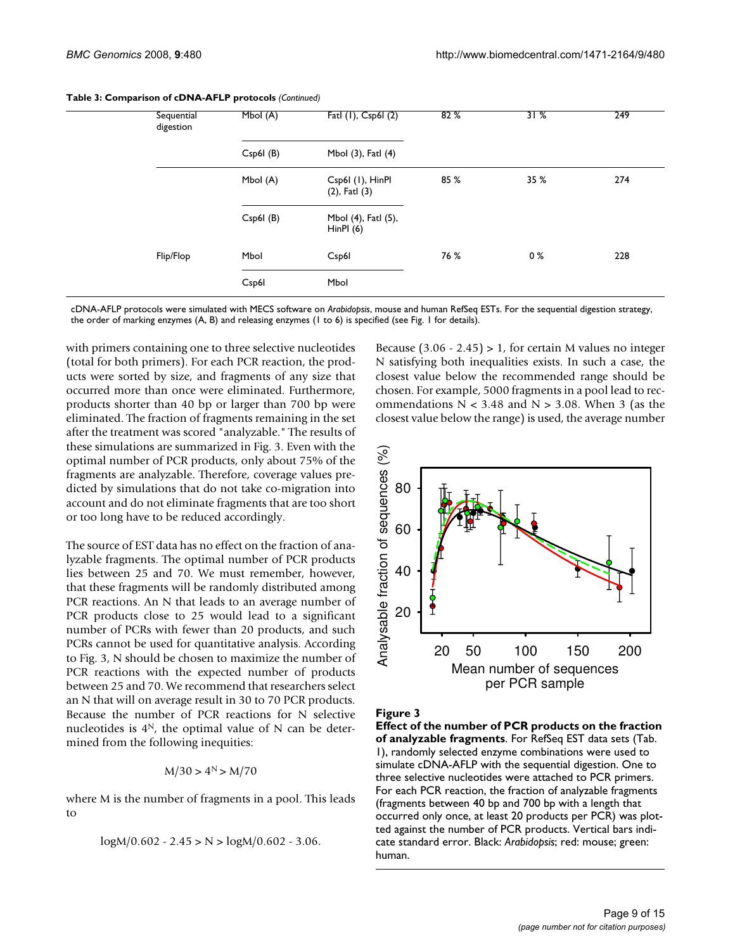| Sequential<br>digestion | Mbol (A) | Fatl (1), Csp6l (2)                    | 82%  | 31%   | 249 |  |
|-------------------------|----------|----------------------------------------|------|-------|-----|--|
|                         | Csp6I(B) | Mbol (3), Fatl (4)                     |      |       |     |  |
|                         | Mbol (A) | Csp6l (1), HinPl<br>$(2)$ , Fatl $(3)$ | 85 % | 35 %  | 274 |  |
|                         | Csp6I(B) | Mbol (4), Fatl (5),<br>HinPl $(6)$     |      |       |     |  |
| Flip/Flop               | Mbol     | Csp6l                                  | 76 % | $0\%$ | 228 |  |
|                         | Csp6l    | Mbol                                   |      |       |     |  |

#### **Table 3: Comparison of cDNA-AFLP protocols** *(Continued)*

cDNA-AFLP protocols were simulated with MECS software on *Arabidopsis*, mouse and human RefSeq ESTs. For the sequential digestion strategy, the order of marking enzymes (A, B) and releasing enzymes (1 to 6) is specified (see Fig. 1 for details).

with primers containing one to three selective nucleotides (total for both primers). For each PCR reaction, the products were sorted by size, and fragments of any size that occurred more than once were eliminated. Furthermore, products shorter than 40 bp or larger than 700 bp were eliminated. The fraction of fragments remaining in the set after the treatment was scored "analyzable." The results of these simulations are summarized in Fig. 3. Even with the optimal number of PCR products, only about 75% of the fragments are analyzable. Therefore, coverage values predicted by simulations that do not take co-migration into account and do not eliminate fragments that are too short or too long have to be reduced accordingly.

The source of EST data has no effect on the fraction of analyzable fragments. The optimal number of PCR products lies between 25 and 70. We must remember, however, that these fragments will be randomly distributed among PCR reactions. An N that leads to an average number of PCR products close to 25 would lead to a significant number of PCRs with fewer than 20 products, and such PCRs cannot be used for quantitative analysis. According to Fig. 3, N should be chosen to maximize the number of PCR reactions with the expected number of products between 25 and 70. We recommend that researchers select an N that will on average result in 30 to 70 PCR products. Because the number of PCR reactions for N selective nucleotides is 4N, the optimal value of N can be determined from the following inequities:

$$
M/30 > 4^N > M/70
$$

where M is the number of fragments in a pool. This leads to

$$
log M/0.602 - 2.45 > N > log M/0.602 - 3.06.
$$

Because  $(3.06 - 2.45) > 1$ , for certain M values no integer N satisfying both inequalities exists. In such a case, the closest value below the recommended range should be chosen. For example, 5000 fragments in a pool lead to recommendations  $N < 3.48$  and  $N > 3.08$ . When 3 (as the closest value below the range) is used, the average number



#### Figure 3

**Effect of the number of PCR products on the fraction of analyzable fragments**. For RefSeq EST data sets (Tab. 1), randomly selected enzyme combinations were used to simulate cDNA-AFLP with the sequential digestion. One to three selective nucleotides were attached to PCR primers. For each PCR reaction, the fraction of analyzable fragments (fragments between 40 bp and 700 bp with a length that occurred only once, at least 20 products per PCR) was plotted against the number of PCR products. Vertical bars indicate standard error. Black: *Arabidopsis*; red: mouse; green: human.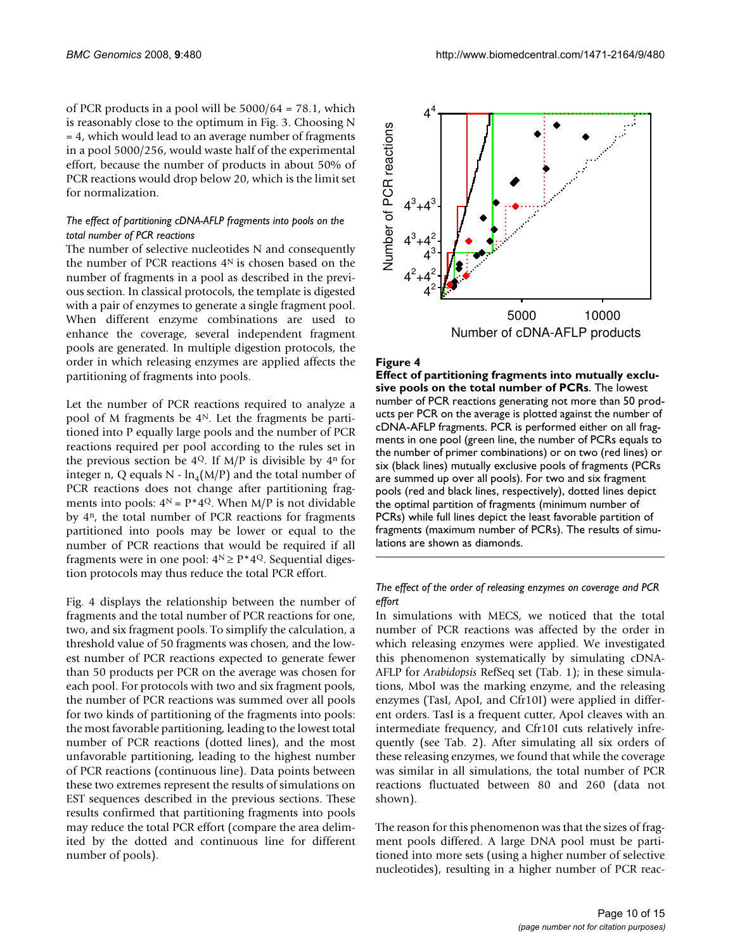of PCR products in a pool will be  $5000/64 = 78.1$ , which is reasonably close to the optimum in Fig. 3. Choosing N = 4, which would lead to an average number of fragments in a pool 5000/256, would waste half of the experimental effort, because the number of products in about 50% of PCR reactions would drop below 20, which is the limit set for normalization.

#### *The effect of partitioning cDNA-AFLP fragments into pools on the total number of PCR reactions*

The number of selective nucleotides N and consequently the number of PCR reactions  $4<sup>N</sup>$  is chosen based on the number of fragments in a pool as described in the previous section. In classical protocols, the template is digested with a pair of enzymes to generate a single fragment pool. When different enzyme combinations are used to enhance the coverage, several independent fragment pools are generated. In multiple digestion protocols, the order in which releasing enzymes are applied affects the partitioning of fragments into pools.

Let the number of PCR reactions required to analyze a pool of M fragments be 4N. Let the fragments be partitioned into P equally large pools and the number of PCR reactions required per pool according to the rules set in the previous section be  $4^{\circ}$ . If M/P is divisible by  $4^n$  for integer n, Q equals N -  $\ln_4(M/P)$  and the total number of PCR reactions does not change after partitioning fragments into pools:  $4^N = P^*4^Q$ . When M/P is not dividable by 4n, the total number of PCR reactions for fragments partitioned into pools may be lower or equal to the number of PCR reactions that would be required if all fragments were in one pool:  $4^N \ge P^*4^Q$ . Sequential digestion protocols may thus reduce the total PCR effort.

Fig. 4 displays the relationship between the number of fragments and the total number of PCR reactions for one, two, and six fragment pools. To simplify the calculation, a threshold value of 50 fragments was chosen, and the lowest number of PCR reactions expected to generate fewer than 50 products per PCR on the average was chosen for each pool. For protocols with two and six fragment pools, the number of PCR reactions was summed over all pools for two kinds of partitioning of the fragments into pools: the most favorable partitioning, leading to the lowest total number of PCR reactions (dotted lines), and the most unfavorable partitioning, leading to the highest number of PCR reactions (continuous line). Data points between these two extremes represent the results of simulations on EST sequences described in the previous sections. These results confirmed that partitioning fragments into pools may reduce the total PCR effort (compare the area delimited by the dotted and continuous line for different number of pools).



#### Figure 4

**Effect of partitioning fragments into mutually exclusive pools on the total number of PCRs**. The lowest number of PCR reactions generating not more than 50 products per PCR on the average is plotted against the number of cDNA-AFLP fragments. PCR is performed either on all fragments in one pool (green line, the number of PCRs equals to the number of primer combinations) or on two (red lines) or six (black lines) mutually exclusive pools of fragments (PCRs are summed up over all pools). For two and six fragment pools (red and black lines, respectively), dotted lines depict the optimal partition of fragments (minimum number of PCRs) while full lines depict the least favorable partition of fragments (maximum number of PCRs). The results of simulations are shown as diamonds.

#### *The effect of the order of releasing enzymes on coverage and PCR effort*

In simulations with MECS, we noticed that the total number of PCR reactions was affected by the order in which releasing enzymes were applied. We investigated this phenomenon systematically by simulating cDNA-AFLP for *Arabidopsis* RefSeq set (Tab. 1); in these simulations, MboI was the marking enzyme, and the releasing enzymes (TasI, ApoI, and Cfr10I) were applied in different orders. TasI is a frequent cutter, ApoI cleaves with an intermediate frequency, and Cfr10I cuts relatively infrequently (see Tab. 2). After simulating all six orders of these releasing enzymes, we found that while the coverage was similar in all simulations, the total number of PCR reactions fluctuated between 80 and 260 (data not shown).

The reason for this phenomenon was that the sizes of fragment pools differed. A large DNA pool must be partitioned into more sets (using a higher number of selective nucleotides), resulting in a higher number of PCR reac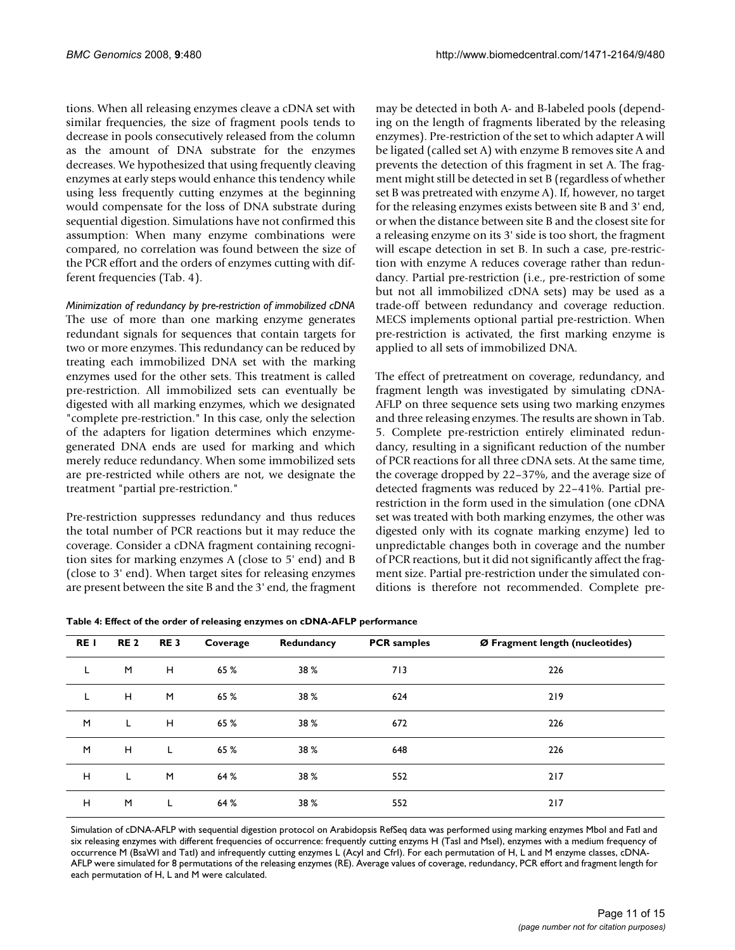tions. When all releasing enzymes cleave a cDNA set with similar frequencies, the size of fragment pools tends to decrease in pools consecutively released from the column as the amount of DNA substrate for the enzymes decreases. We hypothesized that using frequently cleaving enzymes at early steps would enhance this tendency while using less frequently cutting enzymes at the beginning would compensate for the loss of DNA substrate during sequential digestion. Simulations have not confirmed this assumption: When many enzyme combinations were compared, no correlation was found between the size of the PCR effort and the orders of enzymes cutting with different frequencies (Tab. 4).

*Minimization of redundancy by pre-restriction of immobilized cDNA* The use of more than one marking enzyme generates redundant signals for sequences that contain targets for two or more enzymes. This redundancy can be reduced by treating each immobilized DNA set with the marking enzymes used for the other sets. This treatment is called pre-restriction. All immobilized sets can eventually be digested with all marking enzymes, which we designated "complete pre-restriction." In this case, only the selection of the adapters for ligation determines which enzymegenerated DNA ends are used for marking and which merely reduce redundancy. When some immobilized sets are pre-restricted while others are not, we designate the treatment "partial pre-restriction."

Pre-restriction suppresses redundancy and thus reduces the total number of PCR reactions but it may reduce the coverage. Consider a cDNA fragment containing recognition sites for marking enzymes A (close to 5' end) and B (close to 3' end). When target sites for releasing enzymes are present between the site B and the 3' end, the fragment may be detected in both A- and B-labeled pools (depending on the length of fragments liberated by the releasing enzymes). Pre-restriction of the set to which adapter A will be ligated (called set A) with enzyme B removes site A and prevents the detection of this fragment in set A. The fragment might still be detected in set B (regardless of whether set B was pretreated with enzyme A). If, however, no target for the releasing enzymes exists between site B and 3' end, or when the distance between site B and the closest site for a releasing enzyme on its 3' side is too short, the fragment will escape detection in set B. In such a case, pre-restriction with enzyme A reduces coverage rather than redundancy. Partial pre-restriction (i.e., pre-restriction of some but not all immobilized cDNA sets) may be used as a trade-off between redundancy and coverage reduction. MECS implements optional partial pre-restriction. When pre-restriction is activated, the first marking enzyme is applied to all sets of immobilized DNA.

The effect of pretreatment on coverage, redundancy, and fragment length was investigated by simulating cDNA-AFLP on three sequence sets using two marking enzymes and three releasing enzymes. The results are shown in Tab. 5. Complete pre-restriction entirely eliminated redundancy, resulting in a significant reduction of the number of PCR reactions for all three cDNA sets. At the same time, the coverage dropped by 22–37%, and the average size of detected fragments was reduced by 22–41%. Partial prerestriction in the form used in the simulation (one cDNA set was treated with both marking enzymes, the other was digested only with its cognate marking enzyme) led to unpredictable changes both in coverage and the number of PCR reactions, but it did not significantly affect the fragment size. Partial pre-restriction under the simulated conditions is therefore not recommended. Complete pre-

| Table 4: Effect of the order of releasing enzymes on cDNA-AFLP performance |  |  |
|----------------------------------------------------------------------------|--|--|
|----------------------------------------------------------------------------|--|--|

| RE I | <b>RE 2</b> | <b>RE3</b> | Coverage | Redundancy | <b>PCR</b> samples | Ø Fragment length (nucleotides) |
|------|-------------|------------|----------|------------|--------------------|---------------------------------|
| L    | M           | H          | 65 %     | 38 %       | 713                | 226                             |
| L    | H           | M          | 65 %     | 38 %       | 624                | 219                             |
| M    | L.          | H          | 65 %     | 38 %       | 672                | 226                             |
| M    | н           | L          | 65 %     | 38 %       | 648                | 226                             |
| н    | L           | M          | 64 %     | 38 %       | 552                | 217                             |
| н    | M           | L          | 64 %     | 38 %       | 552                | 217                             |

Simulation of cDNA-AFLP with sequential digestion protocol on Arabidopsis RefSeq data was performed using marking enzymes MboI and FatI and six releasing enzymes with different frequencies of occurrence: frequently cutting enzyms H (TasI and MseI), enzymes with a medium frequency of occurrence M (BsaWI and TatI) and infrequently cutting enzymes L (AcyI and CfrI). For each permutation of H, L and M enzyme classes, cDNA-AFLP were simulated for 8 permutations of the releasing enzymes (RE). Average values of coverage, redundancy, PCR effort and fragment length for each permutation of H, L and M were calculated.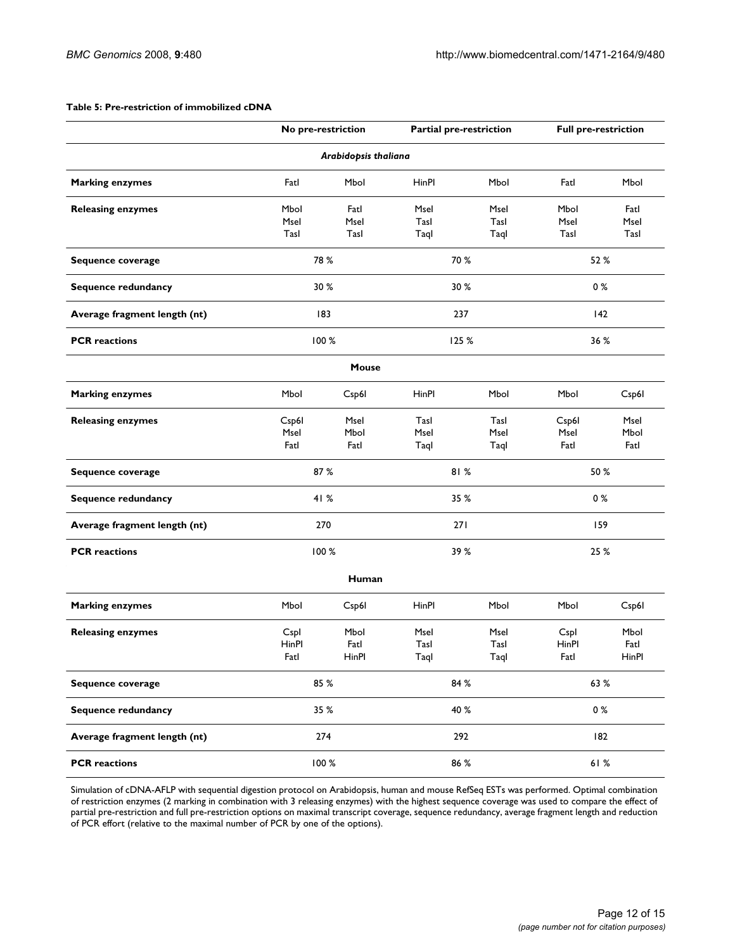#### **Table 5: Pre-restriction of immobilized cDNA**

|                              | No pre-restriction |              | <b>Partial pre-restriction</b> |              | <b>Full pre-restriction</b> |              |  |  |  |
|------------------------------|--------------------|--------------|--------------------------------|--------------|-----------------------------|--------------|--|--|--|
| Arabidopsis thaliana         |                    |              |                                |              |                             |              |  |  |  |
| <b>Marking enzymes</b>       | Fatl               | Mbol         | HinPl                          | Mbol         | Fatl                        | Mbol         |  |  |  |
| <b>Releasing enzymes</b>     | Mbol               | Fatl         | Msel                           | Msel         | Mbol                        | Fatl         |  |  |  |
|                              | Msel<br>Tasl       | Msel<br>Tasl | Tasl<br>Taql                   | Tasl<br>Taql | Msel<br>Tasl                | Msel<br>Tasl |  |  |  |
| Sequence coverage            | 78 %               |              | 70 %                           |              | 52 %                        |              |  |  |  |
| Sequence redundancy          | 30 %               |              | 30 %                           |              | $0\%$                       |              |  |  |  |
| Average fragment length (nt) | 183                |              |                                | 237          |                             | 142          |  |  |  |
| <b>PCR</b> reactions         |                    | 100%         |                                | 125 %        |                             | 36 %         |  |  |  |
|                              |                    | <b>Mouse</b> |                                |              |                             |              |  |  |  |
| <b>Marking enzymes</b>       | Mbol               | Csp6l        | HinPl                          | Mbol         | Mbol                        | Csp6l        |  |  |  |
| <b>Releasing enzymes</b>     | Csp6l<br>Msel      | Msel<br>Mbol | Tasl                           | Tasl<br>Msel | Csp6l                       | Msel<br>Mbol |  |  |  |
|                              | Fatl               | Fatl         | Msel<br>Taql                   | Taql         | Msel<br>Fatl                | Fatl         |  |  |  |
| Sequence coverage            | 87 %               |              | 81%                            |              |                             | 50 %         |  |  |  |
| Sequence redundancy          | 41%                |              | 35 %                           |              |                             | 0%           |  |  |  |
| Average fragment length (nt) | 270                |              | 271                            |              | 159                         |              |  |  |  |
| <b>PCR</b> reactions         | 100 %              |              | 39%                            |              | 25 %                        |              |  |  |  |
|                              |                    | Human        |                                |              |                             |              |  |  |  |
| <b>Marking enzymes</b>       | Mbol               | Csp6l        | HinPl                          | Mbol         | Mbol                        | Csp6l        |  |  |  |
| <b>Releasing enzymes</b>     | Cspl<br>HinPl      | Mbol<br>Fatl | Msel<br>Tasl                   | Msel<br>Tasl | Cspl<br>HinPl               | Mbol<br>Fatl |  |  |  |
|                              | Fatl               | HinPl        | Taql                           | Taql         | Fatl                        | HinPl        |  |  |  |
| Sequence coverage            | 85 %               |              | 84 %                           |              | 63 %                        |              |  |  |  |
| Sequence redundancy          | 35 %               |              | 40 %                           |              | $0\%$                       |              |  |  |  |
| Average fragment length (nt) | 274                |              | 292                            |              | 182                         |              |  |  |  |
| <b>PCR</b> reactions         | 100 %              |              | 86 %                           |              | 61%                         |              |  |  |  |

Simulation of cDNA-AFLP with sequential digestion protocol on Arabidopsis, human and mouse RefSeq ESTs was performed. Optimal combination of restriction enzymes (2 marking in combination with 3 releasing enzymes) with the highest sequence coverage was used to compare the effect of partial pre-restriction and full pre-restriction options on maximal transcript coverage, sequence redundancy, average fragment length and reduction of PCR effort (relative to the maximal number of PCR by one of the options).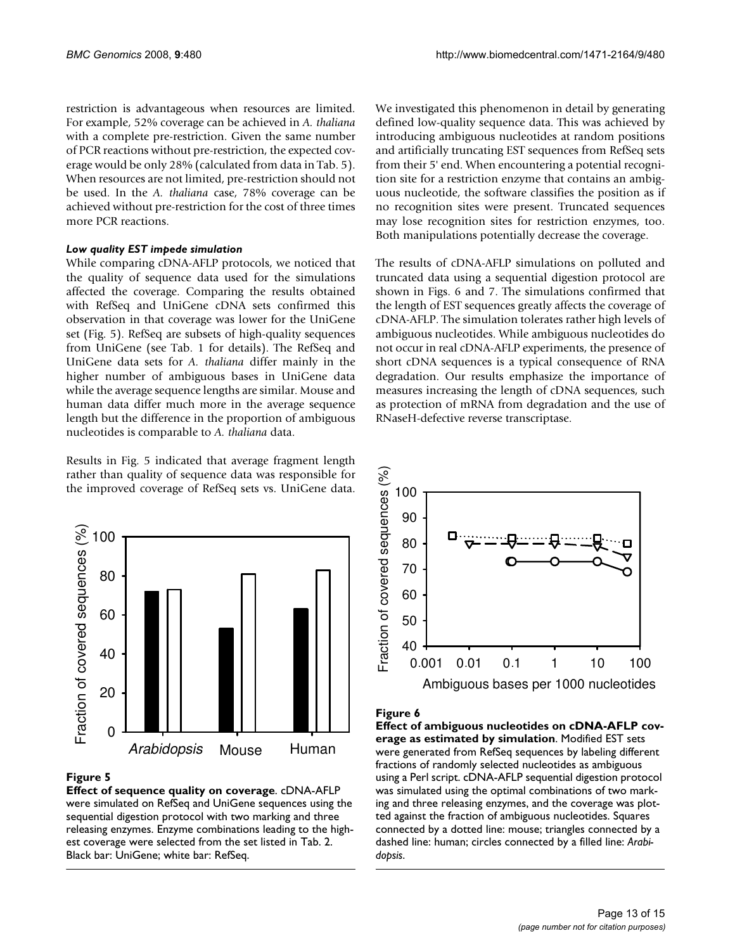restriction is advantageous when resources are limited. For example, 52% coverage can be achieved in *A. thaliana* with a complete pre-restriction. Given the same number of PCR reactions without pre-restriction, the expected coverage would be only 28% (calculated from data in Tab. 5). When resources are not limited, pre-restriction should not be used. In the *A. thaliana* case, 78% coverage can be achieved without pre-restriction for the cost of three times more PCR reactions.

#### *Low quality EST impede simulation*

While comparing cDNA-AFLP protocols, we noticed that the quality of sequence data used for the simulations affected the coverage. Comparing the results obtained with RefSeq and UniGene cDNA sets confirmed this observation in that coverage was lower for the UniGene set (Fig. 5). RefSeq are subsets of high-quality sequences from UniGene (see Tab. 1 for details). The RefSeq and UniGene data sets for *A. thaliana* differ mainly in the higher number of ambiguous bases in UniGene data while the average sequence lengths are similar. Mouse and human data differ much more in the average sequence length but the difference in the proportion of ambiguous nucleotides is comparable to *A. thaliana* data.

Results in Fig. 5 indicated that average fragment length rather than quality of sequence data was responsible for the improved coverage of RefSeq sets vs. UniGene data.



### **Figure 5**

**Effect of sequence quality on coverage**. cDNA-AFLP were simulated on RefSeq and UniGene sequences using the sequential digestion protocol with two marking and three releasing enzymes. Enzyme combinations leading to the highest coverage were selected from the set listed in Tab. 2.

We investigated this phenomenon in detail by generating defined low-quality sequence data. This was achieved by introducing ambiguous nucleotides at random positions and artificially truncating EST sequences from RefSeq sets from their 5' end. When encountering a potential recognition site for a restriction enzyme that contains an ambiguous nucleotide, the software classifies the position as if no recognition sites were present. Truncated sequences may lose recognition sites for restriction enzymes, too. Both manipulations potentially decrease the coverage.

The results of cDNA-AFLP simulations on polluted and truncated data using a sequential digestion protocol are shown in Figs. 6 and 7. The simulations confirmed that the length of EST sequences greatly affects the coverage of cDNA-AFLP. The simulation tolerates rather high levels of ambiguous nucleotides. While ambiguous nucleotides do not occur in real cDNA-AFLP experiments, the presence of short cDNA sequences is a typical consequence of RNA degradation. Our results emphasize the importance of measures increasing the length of cDNA sequences, such as protection of mRNA from degradation and the use of RNaseH-defective reverse transcriptase.



### Figure 6

**Effect of ambiguous nucleotides on cDNA-AFLP coverage as estimated by simulation**. Modified EST sets were generated from RefSeq sequences by labeling different fractions of randomly selected nucleotides as ambiguous using a Perl script. cDNA-AFLP sequential digestion protocol was simulated using the optimal combinations of two marking and three releasing enzymes, and the coverage was plotted against the fraction of ambiguous nucleotides. Squares connected by a dotted line: mouse; triangles connected by a dashed line: human; circles connected by a filled line: *Arabidopsis*.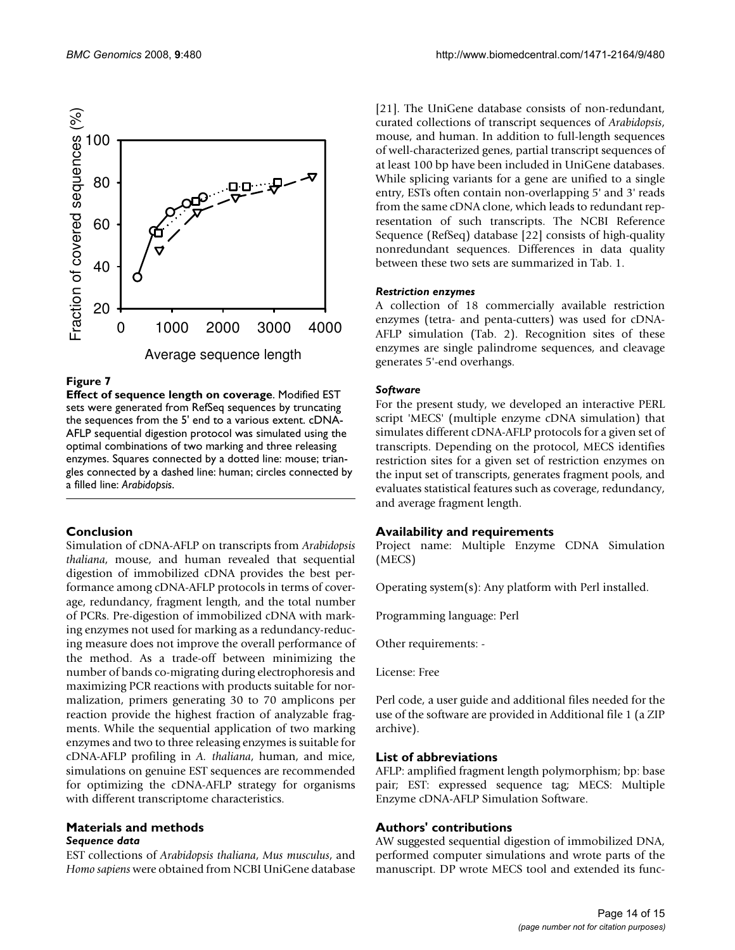

### **Figure 7**

**Effect of sequence length on coverage**. Modified EST sets were generated from RefSeq sequences by truncating the sequences from the 5' end to a various extent. cDNA-AFLP sequential digestion protocol was simulated using the optimal combinations of two marking and three releasing enzymes. Squares connected by a dotted line: mouse; triangles connected by a dashed line: human; circles connected by a filled line: *Arabidopsis*.

### **Conclusion**

Simulation of cDNA-AFLP on transcripts from *Arabidopsis thaliana*, mouse, and human revealed that sequential digestion of immobilized cDNA provides the best performance among cDNA-AFLP protocols in terms of coverage, redundancy, fragment length, and the total number of PCRs. Pre-digestion of immobilized cDNA with marking enzymes not used for marking as a redundancy-reducing measure does not improve the overall performance of the method. As a trade-off between minimizing the number of bands co-migrating during electrophoresis and maximizing PCR reactions with products suitable for normalization, primers generating 30 to 70 amplicons per reaction provide the highest fraction of analyzable fragments. While the sequential application of two marking enzymes and two to three releasing enzymes is suitable for cDNA-AFLP profiling in *A. thaliana*, human, and mice, simulations on genuine EST sequences are recommended for optimizing the cDNA-AFLP strategy for organisms with different transcriptome characteristics.

#### **Materials and methods** *Sequence data*

EST collections of *Arabidopsis thaliana*, *Mus musculus*, and *Homo sapiens* were obtained from NCBI UniGene database [21]. The UniGene database consists of non-redundant, curated collections of transcript sequences of *Arabidopsis*, mouse, and human. In addition to full-length sequences of well-characterized genes, partial transcript sequences of at least 100 bp have been included in UniGene databases. While splicing variants for a gene are unified to a single entry, ESTs often contain non-overlapping 5' and 3' reads from the same cDNA clone, which leads to redundant representation of such transcripts. The NCBI Reference Sequence (RefSeq) database [22] consists of high-quality nonredundant sequences. Differences in data quality between these two sets are summarized in Tab. 1.

### *Restriction enzymes*

A collection of 18 commercially available restriction enzymes (tetra- and penta-cutters) was used for cDNA-AFLP simulation (Tab. 2). Recognition sites of these enzymes are single palindrome sequences, and cleavage generates 5'-end overhangs.

#### *Software*

For the present study, we developed an interactive PERL script 'MECS' (multiple enzyme cDNA simulation) that simulates different cDNA-AFLP protocols for a given set of transcripts. Depending on the protocol, MECS identifies restriction sites for a given set of restriction enzymes on the input set of transcripts, generates fragment pools, and evaluates statistical features such as coverage, redundancy, and average fragment length.

### **Availability and requirements**

Project name: Multiple Enzyme CDNA Simulation (MECS)

Operating system(s): Any platform with Perl installed.

Programming language: Perl

Other requirements: -

License: Free

Perl code, a user guide and additional files needed for the use of the software are provided in Additional file 1 (a ZIP archive).

### **List of abbreviations**

AFLP: amplified fragment length polymorphism; bp: base pair; EST: expressed sequence tag; MECS: Multiple Enzyme cDNA-AFLP Simulation Software.

### **Authors' contributions**

AW suggested sequential digestion of immobilized DNA, performed computer simulations and wrote parts of the manuscript. DP wrote MECS tool and extended its func-